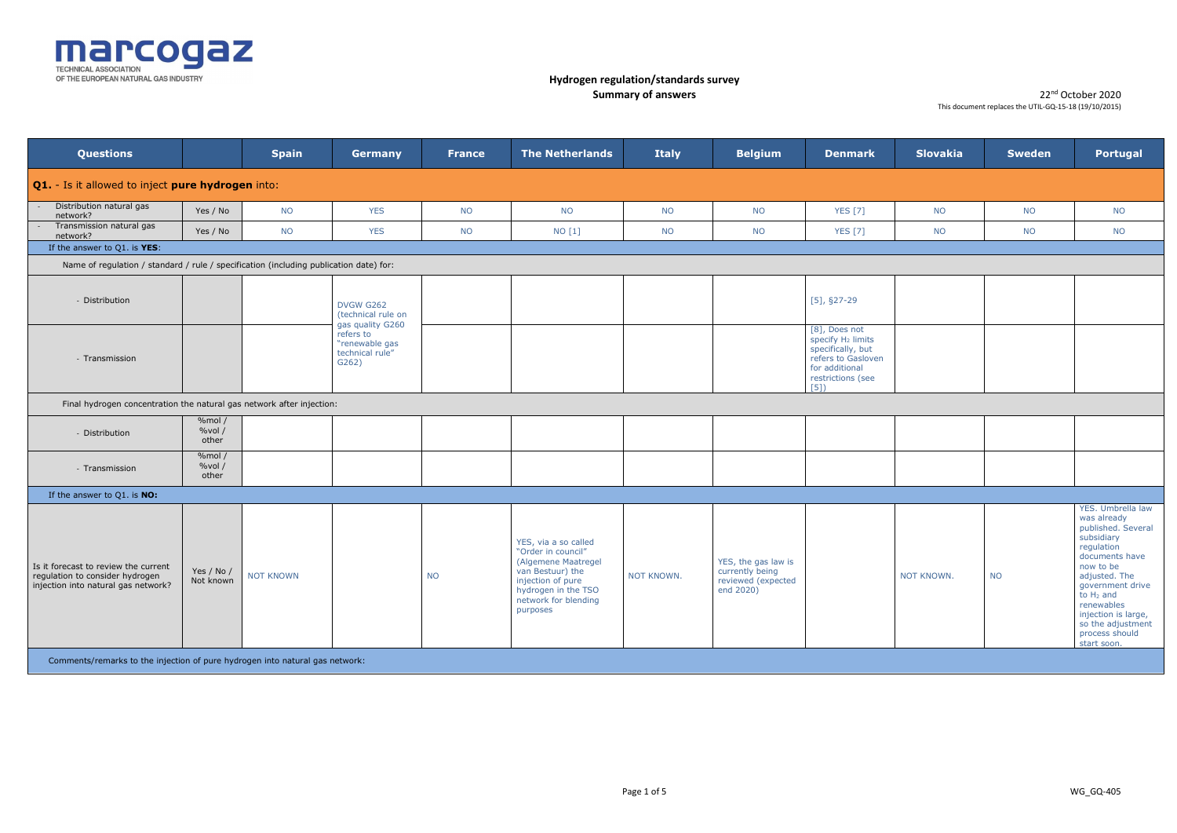

| <b>Questions</b>                                                                                               |                            | <b>Spain</b> | <b>Germany</b>                                             | <b>France</b> | <b>The Netherlands</b>                                                                                                                                                | <b>Italy</b> | <b>Belgium</b>                                                            | <b>Denmark</b>                                                                                                                          | <b>Slovakia</b>   | <b>Sweden</b> | Portugal                                                                                                                                                                                                                                                          |
|----------------------------------------------------------------------------------------------------------------|----------------------------|--------------|------------------------------------------------------------|---------------|-----------------------------------------------------------------------------------------------------------------------------------------------------------------------|--------------|---------------------------------------------------------------------------|-----------------------------------------------------------------------------------------------------------------------------------------|-------------------|---------------|-------------------------------------------------------------------------------------------------------------------------------------------------------------------------------------------------------------------------------------------------------------------|
| <b>Q1.</b> - Is it allowed to inject pure hydrogen into:                                                       |                            |              |                                                            |               |                                                                                                                                                                       |              |                                                                           |                                                                                                                                         |                   |               |                                                                                                                                                                                                                                                                   |
| Distribution natural gas<br>network?                                                                           | Yes / No                   | <b>NO</b>    | <b>YES</b>                                                 | <b>NO</b>     | <b>NO</b>                                                                                                                                                             | <b>NO</b>    | <b>NO</b>                                                                 | <b>YES</b> [7]                                                                                                                          | <b>NO</b>         | <b>NO</b>     | <b>NO</b>                                                                                                                                                                                                                                                         |
| Transmission natural gas<br>network?                                                                           | Yes / No                   | <b>NO</b>    | <b>YES</b>                                                 | <b>NO</b>     | NO [1]                                                                                                                                                                | <b>NO</b>    | <b>NO</b>                                                                 | <b>YES</b> [7]                                                                                                                          | <b>NO</b>         | <b>NO</b>     | <b>NO</b>                                                                                                                                                                                                                                                         |
| If the answer to $Q1$ . is $YES$ :                                                                             |                            |              |                                                            |               |                                                                                                                                                                       |              |                                                                           |                                                                                                                                         |                   |               |                                                                                                                                                                                                                                                                   |
| Name of regulation / standard / rule / specification (including publication date) for:                         |                            |              |                                                            |               |                                                                                                                                                                       |              |                                                                           |                                                                                                                                         |                   |               |                                                                                                                                                                                                                                                                   |
| - Distribution                                                                                                 |                            |              | <b>DVGW G262</b><br>(technical rule on<br>gas quality G260 |               |                                                                                                                                                                       |              |                                                                           | $[5]$ , §27-29                                                                                                                          |                   |               |                                                                                                                                                                                                                                                                   |
| - Transmission                                                                                                 |                            |              | refers to<br>"renewable gas<br>technical rule"<br>G262)    |               |                                                                                                                                                                       |              |                                                                           | [8], Does not<br>specify H <sub>2</sub> limits<br>specifically, but<br>refers to Gasloven<br>for additional<br>restrictions (see<br>[5] |                   |               |                                                                                                                                                                                                                                                                   |
| Final hydrogen concentration the natural gas network after injection:                                          |                            |              |                                                            |               |                                                                                                                                                                       |              |                                                                           |                                                                                                                                         |                   |               |                                                                                                                                                                                                                                                                   |
| - Distribution                                                                                                 | %mol/<br>%vol/<br>other    |              |                                                            |               |                                                                                                                                                                       |              |                                                                           |                                                                                                                                         |                   |               |                                                                                                                                                                                                                                                                   |
| - Transmission                                                                                                 | % $mol/$<br>%vol/<br>other |              |                                                            |               |                                                                                                                                                                       |              |                                                                           |                                                                                                                                         |                   |               |                                                                                                                                                                                                                                                                   |
| If the answer to Q1. is NO:                                                                                    |                            |              |                                                            |               |                                                                                                                                                                       |              |                                                                           |                                                                                                                                         |                   |               |                                                                                                                                                                                                                                                                   |
| Is it forecast to review the current<br>regulation to consider hydrogen<br>injection into natural gas network? | Yes / No /<br>Not known    | NOT KNOWN    |                                                            | <b>NO</b>     | YES, via a so called<br>"Order in council"<br>(Algemene Maatregel<br>van Bestuur) the<br>injection of pure<br>hydrogen in the TSO<br>network for blending<br>purposes | NOT KNOWN.   | YES, the gas law is<br>currently being<br>reviewed (expected<br>end 2020) |                                                                                                                                         | <b>NOT KNOWN.</b> | <b>NO</b>     | YES. Umbrella law<br>was already<br>published. Several<br>subsidiary<br>regulation<br>documents have<br>now to be<br>adjusted. The<br>government drive<br>to $H_2$ and<br>renewables<br>injection is large,<br>so the adjustment<br>process should<br>start soon. |
| Comments/remarks to the injection of pure hydrogen into natural gas network:                                   |                            |              |                                                            |               |                                                                                                                                                                       |              |                                                                           |                                                                                                                                         |                   |               |                                                                                                                                                                                                                                                                   |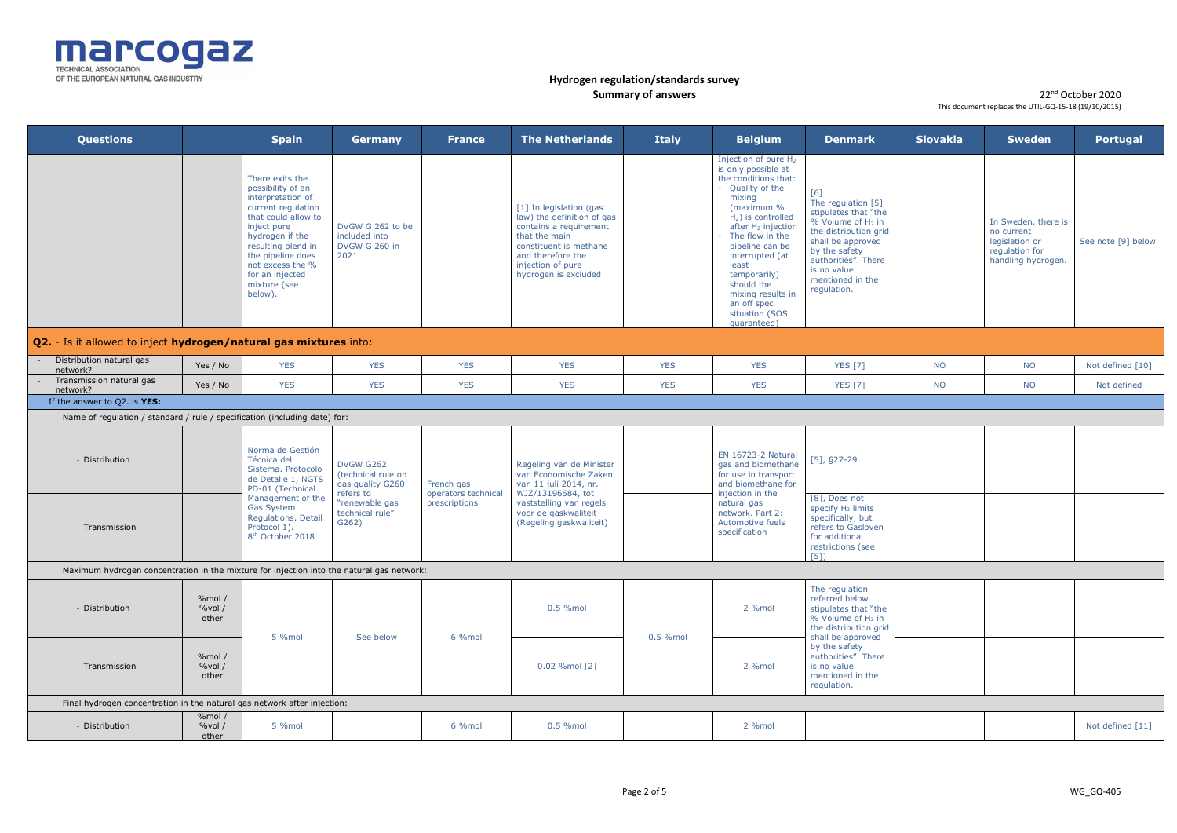

| <b>Questions</b>                                                                          |                            | <b>Spain</b>                                                                                                                                                                                                                                          | Germany                                                    | <b>France</b>                        | <b>The Netherlands</b>                                                                                                                                                                       | <b>Italy</b> | <b>Belgium</b>                                                                                                                                                                                                                                                                                                                                              | <b>Denmark</b>                                                                                                                                                                                                             | <b>Slovakia</b> | <b>Sweden</b>                                                                               | Portugal           |
|-------------------------------------------------------------------------------------------|----------------------------|-------------------------------------------------------------------------------------------------------------------------------------------------------------------------------------------------------------------------------------------------------|------------------------------------------------------------|--------------------------------------|----------------------------------------------------------------------------------------------------------------------------------------------------------------------------------------------|--------------|-------------------------------------------------------------------------------------------------------------------------------------------------------------------------------------------------------------------------------------------------------------------------------------------------------------------------------------------------------------|----------------------------------------------------------------------------------------------------------------------------------------------------------------------------------------------------------------------------|-----------------|---------------------------------------------------------------------------------------------|--------------------|
|                                                                                           |                            | There exits the<br>possibility of an<br>interpretation of<br>current regulation<br>that could allow to<br>inject pure<br>hydrogen if the<br>resulting blend in<br>the pipeline does<br>not excess the %<br>for an injected<br>mixture (see<br>below). | DVGW G 262 to be<br>included into<br>DVGW G 260 in<br>2021 |                                      | [1] In legislation (gas<br>law) the definition of gas<br>contains a requirement<br>that the main<br>constituent is methane<br>and therefore the<br>injection of pure<br>hydrogen is excluded |              | Injection of pure H <sub>2</sub><br>is only possible at<br>the conditions that:<br>- Quality of the<br>mixing<br>(maximum %<br>$H_2$ ) is controlled<br>after H <sub>2</sub> injection<br>The flow in the<br>pipeline can be<br>interrupted (at<br>least<br>temporarily)<br>should the<br>mixing results in<br>an off spec<br>situation (SOS<br>quaranteed) | [6]<br>The regulation [5]<br>stipulates that "the<br>% Volume of H <sub>2</sub> in<br>the distribution grid<br>shall be approved<br>by the safety<br>authorities". There<br>is no value<br>mentioned in the<br>regulation. |                 | In Sweden, there is<br>no current<br>legislation or<br>regulation for<br>handling hydrogen. | See note [9] below |
| <b>Q2.</b> - Is it allowed to inject hydrogen/natural gas mixtures into:                  |                            |                                                                                                                                                                                                                                                       |                                                            |                                      |                                                                                                                                                                                              |              |                                                                                                                                                                                                                                                                                                                                                             |                                                                                                                                                                                                                            |                 |                                                                                             |                    |
| Distribution natural gas<br>network?                                                      | Yes / No                   | <b>YES</b>                                                                                                                                                                                                                                            | <b>YES</b>                                                 | <b>YES</b>                           | <b>YES</b>                                                                                                                                                                                   | <b>YES</b>   | <b>YES</b>                                                                                                                                                                                                                                                                                                                                                  | <b>YES</b> [7]                                                                                                                                                                                                             | <b>NO</b>       | <b>NO</b>                                                                                   | Not defined [10]   |
| Transmission natural gas<br>network?                                                      | Yes / No                   | <b>YES</b>                                                                                                                                                                                                                                            | <b>YES</b>                                                 | <b>YES</b>                           | <b>YES</b>                                                                                                                                                                                   | <b>YES</b>   | <b>YES</b>                                                                                                                                                                                                                                                                                                                                                  | <b>YES</b> [7]                                                                                                                                                                                                             | <b>NO</b>       | <b>NO</b>                                                                                   | Not defined        |
| If the answer to Q2. is YES:                                                              |                            |                                                                                                                                                                                                                                                       |                                                            |                                      |                                                                                                                                                                                              |              |                                                                                                                                                                                                                                                                                                                                                             |                                                                                                                                                                                                                            |                 |                                                                                             |                    |
| Name of regulation / standard / rule / specification (including date) for:                |                            |                                                                                                                                                                                                                                                       |                                                            |                                      |                                                                                                                                                                                              |              |                                                                                                                                                                                                                                                                                                                                                             |                                                                                                                                                                                                                            |                 |                                                                                             |                    |
| - Distribution                                                                            |                            | Norma de Gestión<br>Técnica del<br>Sistema. Protocolo<br>de Detalle 1, NGTS<br>PD-01 (Technical                                                                                                                                                       | <b>DVGW G262</b><br>(technical rule on<br>gas quality G260 | French gas                           | Regeling van de Minister<br>van Economische Zaken<br>van 11 juli 2014, nr.                                                                                                                   |              | <b>EN 16723-2 Natural</b><br>gas and biomethane<br>for use in transport<br>and biomethane for                                                                                                                                                                                                                                                               | $[5]$ , §27-29                                                                                                                                                                                                             |                 |                                                                                             |                    |
| - Transmission                                                                            |                            | Management of the<br>Gas System<br>Regulations. Detail<br>Protocol 1).<br>8 <sup>th</sup> October 2018                                                                                                                                                | refers to<br>"renewable gas<br>technical rule"<br>G262)    | operators technical<br>prescriptions | WJZ/13196684, tot<br>vaststelling van regels<br>voor de gaskwaliteit<br>(Regeling gaskwaliteit)                                                                                              |              | injection in the<br>natural gas<br>network. Part 2:<br>Automotive fuels<br>specification                                                                                                                                                                                                                                                                    | [8], Does not<br>specify H <sub>2</sub> limits<br>specifically, but<br>refers to Gasloven<br>for additional<br>restrictions (see<br>[5]                                                                                    |                 |                                                                                             |                    |
| Maximum hydrogen concentration in the mixture for injection into the natural gas network: |                            |                                                                                                                                                                                                                                                       |                                                            |                                      |                                                                                                                                                                                              |              |                                                                                                                                                                                                                                                                                                                                                             |                                                                                                                                                                                                                            |                 |                                                                                             |                    |
| - Distribution                                                                            | %mol $/$<br>%vol/<br>other |                                                                                                                                                                                                                                                       |                                                            |                                      | 0.5 %mol                                                                                                                                                                                     |              | 2 %mol                                                                                                                                                                                                                                                                                                                                                      | The regulation<br>referred below<br>stipulates that "the<br>$%$ Volume of $H_2$ in<br>the distribution grid                                                                                                                |                 |                                                                                             |                    |
| - Transmission                                                                            | %mol $/$<br>%vol/<br>other | 5 %mol                                                                                                                                                                                                                                                | See below                                                  | 6 %mol                               | 0.02 %mol [2]                                                                                                                                                                                | 0.5 %mol     | 2 %mol                                                                                                                                                                                                                                                                                                                                                      | shall be approved<br>by the safety<br>authorities". There<br>is no value<br>mentioned in the<br>regulation.                                                                                                                |                 |                                                                                             |                    |
| Final hydrogen concentration in the natural gas network after injection:                  |                            |                                                                                                                                                                                                                                                       |                                                            |                                      |                                                                                                                                                                                              |              |                                                                                                                                                                                                                                                                                                                                                             |                                                                                                                                                                                                                            |                 |                                                                                             |                    |
| - Distribution                                                                            | %mol/<br>%vol/<br>other    | 5 %mol                                                                                                                                                                                                                                                |                                                            | 6 %mol                               | 0.5 %mol                                                                                                                                                                                     |              | 2 %mol                                                                                                                                                                                                                                                                                                                                                      |                                                                                                                                                                                                                            |                 |                                                                                             | Not defined [11]   |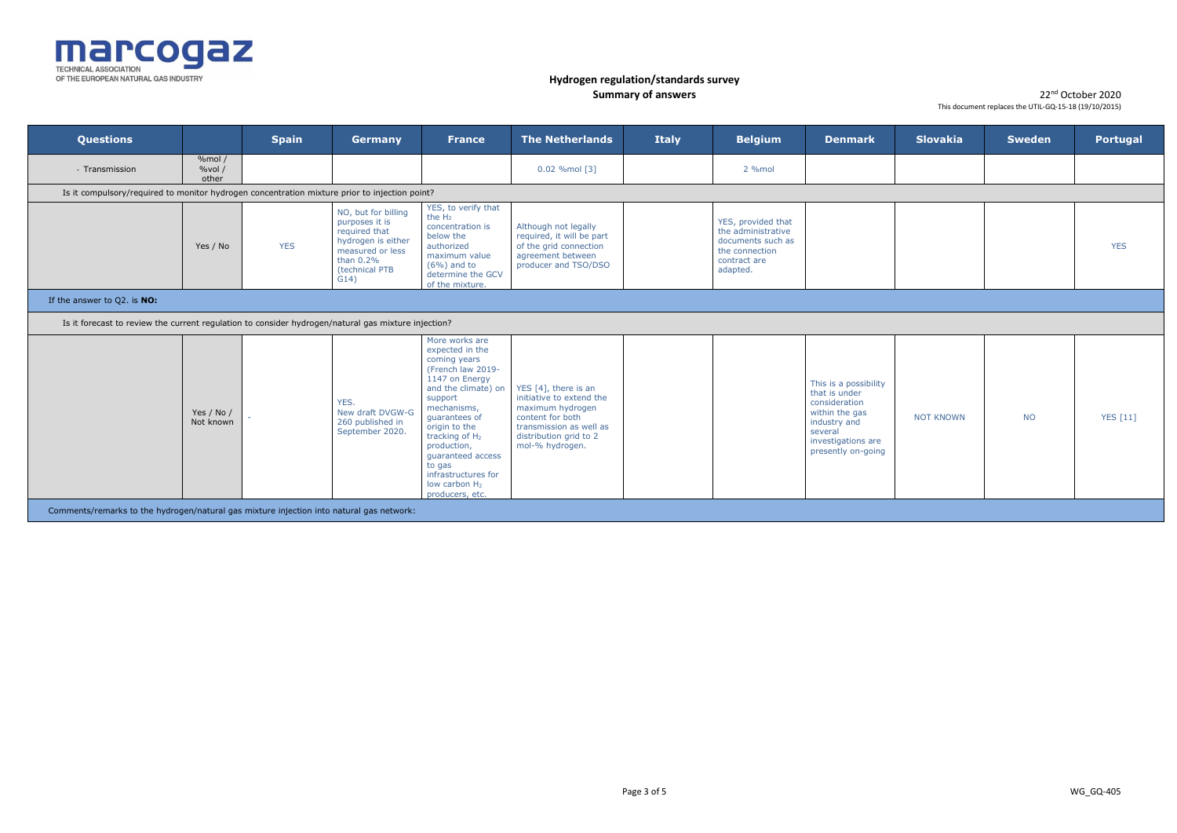

| <b>Questions</b>                                                                                    |                                                                                               | <b>Spain</b> | Germany                                                                                                                                    | <b>France</b>                                                                                                                                                                                                                                                                                                                  | <b>The Netherlands</b>                                                                                                                                           | <b>Italy</b> | <b>Belgium</b>                                                                                              | <b>Denmark</b>                                                                                                                                   | <b>Slovakia</b>  | <b>Sweden</b> | <b>Portugal</b> |
|-----------------------------------------------------------------------------------------------------|-----------------------------------------------------------------------------------------------|--------------|--------------------------------------------------------------------------------------------------------------------------------------------|--------------------------------------------------------------------------------------------------------------------------------------------------------------------------------------------------------------------------------------------------------------------------------------------------------------------------------|------------------------------------------------------------------------------------------------------------------------------------------------------------------|--------------|-------------------------------------------------------------------------------------------------------------|--------------------------------------------------------------------------------------------------------------------------------------------------|------------------|---------------|-----------------|
| - Transmission                                                                                      | %mol/<br>%vol/<br>other                                                                       |              |                                                                                                                                            |                                                                                                                                                                                                                                                                                                                                | 0.02 %mol [3]                                                                                                                                                    |              | 2 %mol                                                                                                      |                                                                                                                                                  |                  |               |                 |
|                                                                                                     | Is it compulsory/required to monitor hydrogen concentration mixture prior to injection point? |              |                                                                                                                                            |                                                                                                                                                                                                                                                                                                                                |                                                                                                                                                                  |              |                                                                                                             |                                                                                                                                                  |                  |               |                 |
|                                                                                                     | Yes / No                                                                                      | <b>YES</b>   | NO, but for billing<br>purposes it is<br>required that<br>hydrogen is either<br>measured or less<br>than $0.2\%$<br>(technical PTB<br>G14) | YES, to verify that<br>the $H_2$<br>concentration is<br>below the<br>authorized<br>maximum value<br>$(6\%)$ and to<br>determine the GCV<br>of the mixture.                                                                                                                                                                     | Although not legally<br>required, it will be part<br>of the grid connection<br>agreement between<br>producer and TSO/DSO                                         |              | YES, provided that<br>the administrative<br>documents such as<br>the connection<br>contract are<br>adapted. |                                                                                                                                                  |                  |               | <b>YES</b>      |
| If the answer to $Q2$ . is $NO:$                                                                    |                                                                                               |              |                                                                                                                                            |                                                                                                                                                                                                                                                                                                                                |                                                                                                                                                                  |              |                                                                                                             |                                                                                                                                                  |                  |               |                 |
| Is it forecast to review the current regulation to consider hydrogen/natural gas mixture injection? |                                                                                               |              |                                                                                                                                            |                                                                                                                                                                                                                                                                                                                                |                                                                                                                                                                  |              |                                                                                                             |                                                                                                                                                  |                  |               |                 |
|                                                                                                     | Yes / No /<br>Not known                                                                       |              | YES.<br>New draft DVGW-G<br>260 published in<br>September 2020                                                                             | More works are<br>expected in the<br>coming years<br>(French law 2019-<br>1147 on Energy<br>and the climate) on<br>support<br>mechanisms,<br>quarantees of<br>origin to the<br>tracking of H <sub>2</sub><br>production,<br>guaranteed access<br>to gas<br>infrastructures for<br>low carbon H <sub>2</sub><br>producers, etc. | YES [4], there is an<br>initiative to extend the<br>maximum hydrogen<br>content for both<br>transmission as well as<br>distribution grid to 2<br>mol-% hydrogen. |              |                                                                                                             | This is a possibility<br>that is under<br>consideration<br>within the gas<br>industry and<br>several<br>investigations are<br>presently on-going | <b>NOT KNOWN</b> | <b>NO</b>     | <b>YES</b> [11] |
| Comments/remarks to the hydrogen/natural gas mixture injection into natural gas network:            |                                                                                               |              |                                                                                                                                            |                                                                                                                                                                                                                                                                                                                                |                                                                                                                                                                  |              |                                                                                                             |                                                                                                                                                  |                  |               |                 |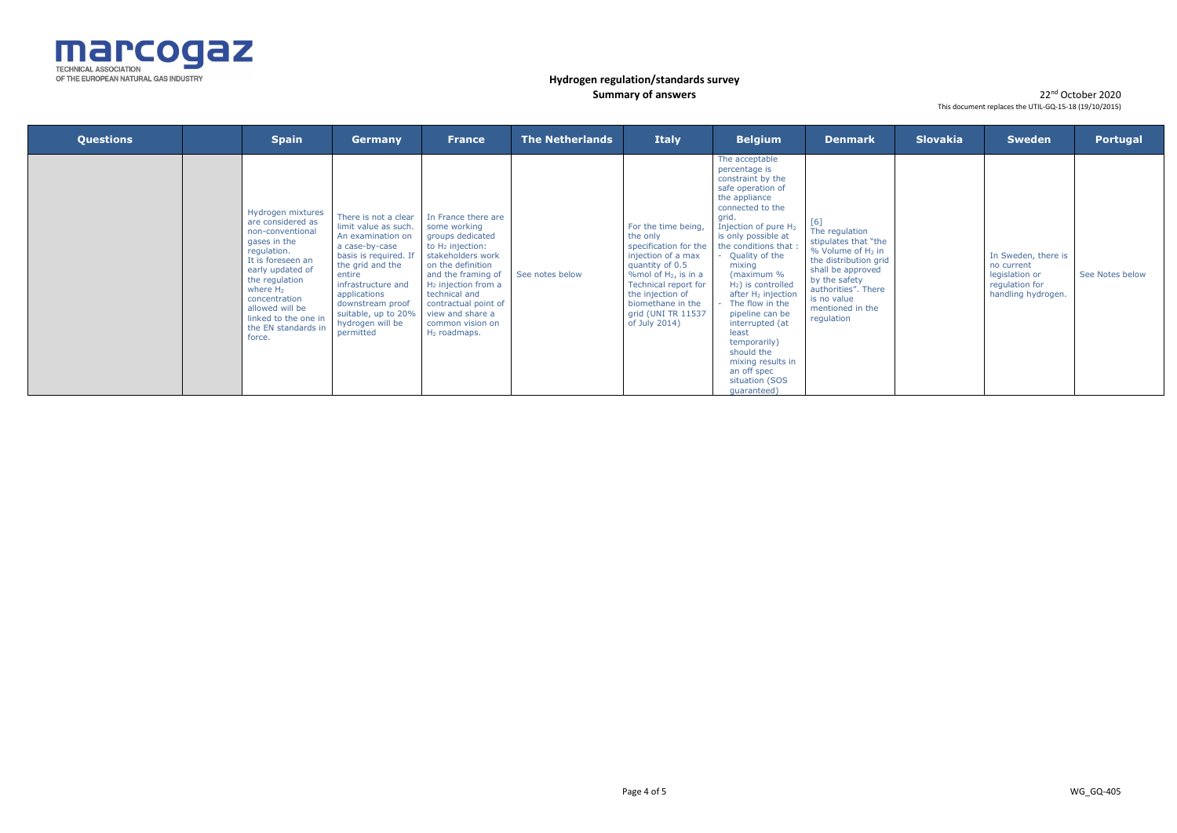

| <b>Questions</b> | <b>Spain</b>                                                                                                                                                                                                                                                     | <b>Germany</b>                                                                                                                                                                                                                                               | <b>France</b>                                                                                                                                                                                                                                                                         | <b>The Netherlands</b> | <b>Italy</b>                                                                                                                                                                                                                         | <b>Belgium</b>                                                                                                                                                                                                                                                                                                                                                                                                                                                                      | <b>Denmark</b>                                                                                                                                                                                          | <b>Slovakia</b> | <b>Sweden</b>                                                                               | Portugal        |
|------------------|------------------------------------------------------------------------------------------------------------------------------------------------------------------------------------------------------------------------------------------------------------------|--------------------------------------------------------------------------------------------------------------------------------------------------------------------------------------------------------------------------------------------------------------|---------------------------------------------------------------------------------------------------------------------------------------------------------------------------------------------------------------------------------------------------------------------------------------|------------------------|--------------------------------------------------------------------------------------------------------------------------------------------------------------------------------------------------------------------------------------|-------------------------------------------------------------------------------------------------------------------------------------------------------------------------------------------------------------------------------------------------------------------------------------------------------------------------------------------------------------------------------------------------------------------------------------------------------------------------------------|---------------------------------------------------------------------------------------------------------------------------------------------------------------------------------------------------------|-----------------|---------------------------------------------------------------------------------------------|-----------------|
|                  | Hydrogen mixtures<br>are considered as<br>non-conventional<br>gases in the<br>regulation.<br>It is foreseen an<br>early updated of<br>the regulation<br>where $H_2$<br>concentration<br>allowed will be<br>linked to the one in<br>the EN standards in<br>force. | There is not a clear<br>limit value as such.<br>An examination on<br>a case-by-case<br>basis is required. If<br>the grid and the<br>entire<br>infrastructure and<br>applications<br>downstream proof<br>suitable, up to 20%<br>hydrogen will be<br>permitted | In France there are<br>some working<br>groups dedicated<br>to H <sub>2</sub> injection:<br>stakeholders work<br>on the definition<br>and the framing of<br>$H_2$ injection from a<br>technical and<br>contractual point of<br>view and share a<br>common vision on<br>$H_2$ roadmaps. | See notes below        | For the time being,<br>the only<br>specification for the<br>injection of a max<br>quantity of 0.5<br>%mol of $H_2$ , is in a<br>Technical report for<br>the injection of<br>biomethane in the<br>grid (UNI TR 11537<br>of July 2014) | The acceptable<br>percentage is<br>constraint by the<br>safe operation of<br>the appliance<br>connected to the<br>grid.<br>Injection of pure H <sub>2</sub><br>is only possible at<br>the conditions that<br>Quality of the<br>mixing<br>(maximum %<br>$H_2$ ) is controlled<br>after H <sub>2</sub> injection<br>The flow in the<br>pipeline can be<br>interrupted (at<br>least<br>temporarily)<br>should the<br>mixing results in<br>an off spec<br>situation (SOS<br>quaranteed) | The regulation<br>stipulates that "the<br>$%$ Volume of $H_2$ in<br>the distribution grid<br>shall be approved<br>by the safety<br>authorities". There<br>is no value<br>mentioned in the<br>regulation |                 | In Sweden, there is<br>no current<br>legislation or<br>regulation for<br>handling hydrogen. | See Notes below |